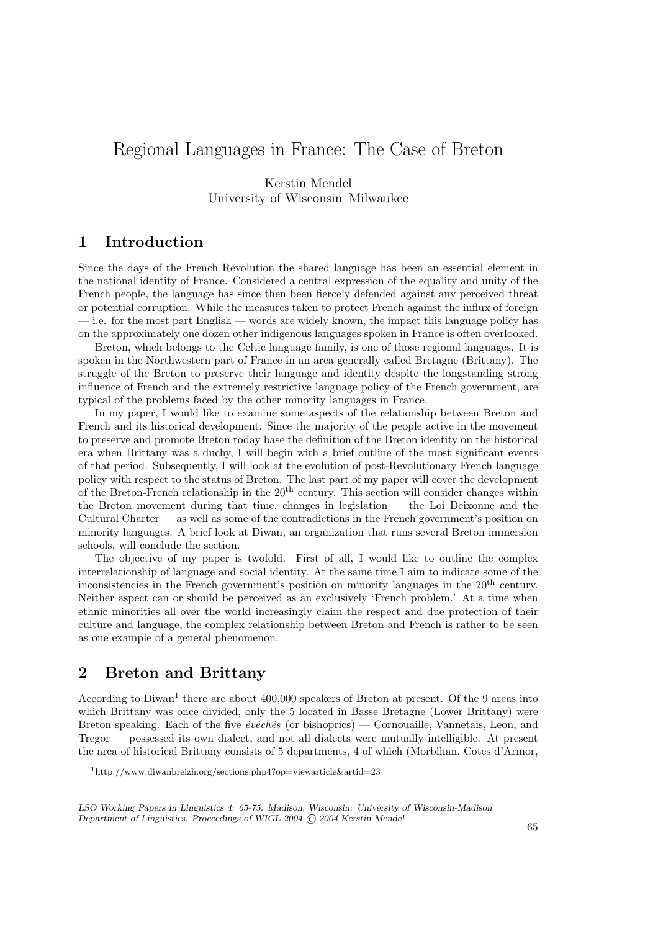# Regional Languages in France: The Case of Breton

Kerstin Mendel University of Wisconsin–Milwaukee

## 1 Introduction

Since the days of the French Revolution the shared language has been an essential element in the national identity of France. Considered a central expression of the equality and unity of the French people, the language has since then been fiercely defended against any perceived threat or potential corruption. While the measures taken to protect French against the influx of foreign — i.e. for the most part English — words are widely known, the impact this language policy has on the approximately one dozen other indigenous languages spoken in France is often overlooked.

Breton, which belongs to the Celtic language family, is one of those regional languages. It is spoken in the Northwestern part of France in an area generally called Bretagne (Brittany). The struggle of the Breton to preserve their language and identity despite the longstanding strong influence of French and the extremely restrictive language policy of the French government, are typical of the problems faced by the other minority languages in France.

In my paper, I would like to examine some aspects of the relationship between Breton and French and its historical development. Since the majority of the people active in the movement to preserve and promote Breton today base the definition of the Breton identity on the historical era when Brittany was a duchy, I will begin with a brief outline of the most significant events of that period. Subsequently, I will look at the evolution of post-Revolutionary French language policy with respect to the status of Breton. The last part of my paper will cover the development of the Breton-French relationship in the  $20<sup>th</sup>$  century. This section will consider changes within the Breton movement during that time, changes in legislation — the Loi Deixonne and the Cultural Charter — as well as some of the contradictions in the French government's position on minority languages. A brief look at Diwan, an organization that runs several Breton immersion schools, will conclude the section.

The objective of my paper is twofold. First of all, I would like to outline the complex interrelationship of language and social identity. At the same time I aim to indicate some of the inconsistencies in the French government's position on minority languages in the 20th century. Neither aspect can or should be perceived as an exclusively 'French problem.' At a time when ethnic minorities all over the world increasingly claim the respect and due protection of their culture and language, the complex relationship between Breton and French is rather to be seen as one example of a general phenomenon.

## 2 Breton and Brittany

According to Diwan<sup>1</sup> there are about 400,000 speakers of Breton at present. Of the 9 areas into which Brittany was once divided, only the 5 located in Basse Bretagne (Lower Brittany) were Breton speaking. Each of the five  $\acute{e}v\acute{e}ch\acute{e}s$  (or bishoprics) — Cornouaille, Vannetais, Leon, and Tregor — possessed its own dialect, and not all dialects were mutually intelligible. At present the area of historical Brittany consists of 5 departments, 4 of which (Morbihan, Cotes d'Armor,

<sup>1</sup>http://www.diwanbreizh.org/sections.php4?op=viewarticle&artid=23

LSO Working Papers in Linguistics 4: 65-75. Madison, Wisconsin: University of Wisconsin-Madison Department of Linguistics. Proceedings of WIGL 2004 © 2004 Kerstin Mendel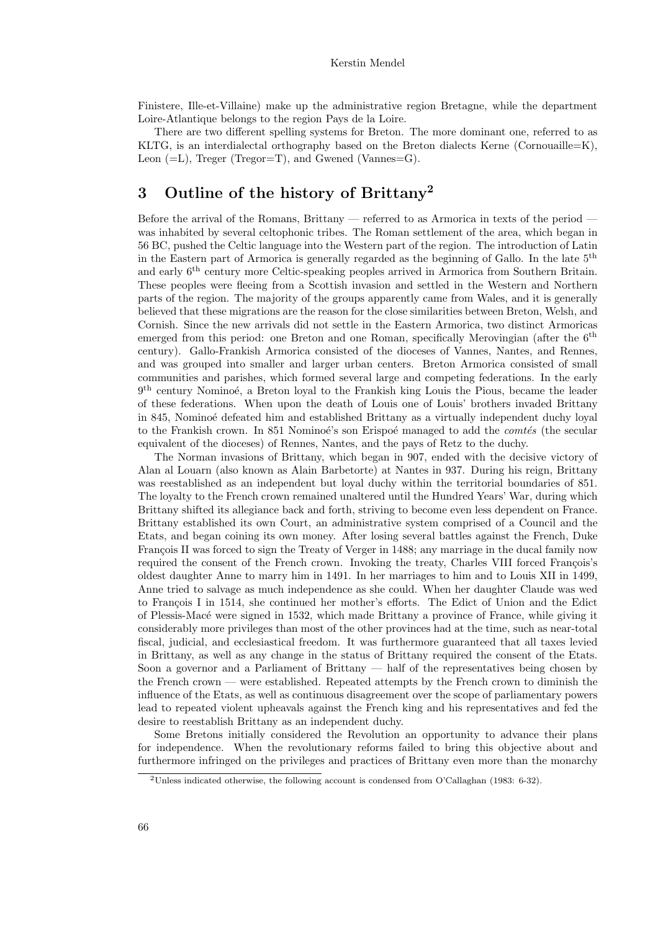Finistere, Ille-et-Villaine) make up the administrative region Bretagne, while the department Loire-Atlantique belongs to the region Pays de la Loire.

There are two different spelling systems for Breton. The more dominant one, referred to as KLTG, is an interdialectal orthography based on the Breton dialects Kerne (Cornouaille=K), Leon  $(=L)$ , Treger (Tregor=T), and Gwened (Vannes=G).

# 3 Outline of the history of Brittany<sup>2</sup>

Before the arrival of the Romans, Brittany — referred to as Armorica in texts of the period was inhabited by several celtophonic tribes. The Roman settlement of the area, which began in 56 BC, pushed the Celtic language into the Western part of the region. The introduction of Latin in the Eastern part of Armorica is generally regarded as the beginning of Gallo. In the late 5th and early  $6<sup>th</sup>$  century more Celtic-speaking peoples arrived in Armorica from Southern Britain. These peoples were fleeing from a Scottish invasion and settled in the Western and Northern parts of the region. The majority of the groups apparently came from Wales, and it is generally believed that these migrations are the reason for the close similarities between Breton, Welsh, and Cornish. Since the new arrivals did not settle in the Eastern Armorica, two distinct Armoricas emerged from this period: one Breton and one Roman, specifically Merovingian (after the 6<sup>th</sup> century). Gallo-Frankish Armorica consisted of the dioceses of Vannes, Nantes, and Rennes, and was grouped into smaller and larger urban centers. Breton Armorica consisted of small communities and parishes, which formed several large and competing federations. In the early 9<sup>th</sup> century Nominoé, a Breton loyal to the Frankish king Louis the Pious, became the leader of these federations. When upon the death of Louis one of Louis' brothers invaded Brittany in 845, Nominoé defeated him and established Brittany as a virtually independent duchy loyal to the Frankish crown. In 851 Nominoé's son Erispoé managed to add the *comtés* (the secular equivalent of the dioceses) of Rennes, Nantes, and the pays of Retz to the duchy.

The Norman invasions of Brittany, which began in 907, ended with the decisive victory of Alan al Louarn (also known as Alain Barbetorte) at Nantes in 937. During his reign, Brittany was reestablished as an independent but loyal duchy within the territorial boundaries of 851. The loyalty to the French crown remained unaltered until the Hundred Years' War, during which Brittany shifted its allegiance back and forth, striving to become even less dependent on France. Brittany established its own Court, an administrative system comprised of a Council and the Etats, and began coining its own money. After losing several battles against the French, Duke François II was forced to sign the Treaty of Verger in 1488; any marriage in the ducal family now required the consent of the French crown. Invoking the treaty, Charles VIII forced François's oldest daughter Anne to marry him in 1491. In her marriages to him and to Louis XII in 1499, Anne tried to salvage as much independence as she could. When her daughter Claude was wed to François I in 1514, she continued her mother's efforts. The Edict of Union and the Edict of Plessis-Mac´e were signed in 1532, which made Brittany a province of France, while giving it considerably more privileges than most of the other provinces had at the time, such as near-total fiscal, judicial, and ecclesiastical freedom. It was furthermore guaranteed that all taxes levied in Brittany, as well as any change in the status of Brittany required the consent of the Etats. Soon a governor and a Parliament of Brittany — half of the representatives being chosen by the French crown — were established. Repeated attempts by the French crown to diminish the influence of the Etats, as well as continuous disagreement over the scope of parliamentary powers lead to repeated violent upheavals against the French king and his representatives and fed the desire to reestablish Brittany as an independent duchy.

Some Bretons initially considered the Revolution an opportunity to advance their plans for independence. When the revolutionary reforms failed to bring this objective about and furthermore infringed on the privileges and practices of Brittany even more than the monarchy

<sup>&</sup>lt;sup>2</sup>Unless indicated otherwise, the following account is condensed from O'Callaghan (1983: 6-32).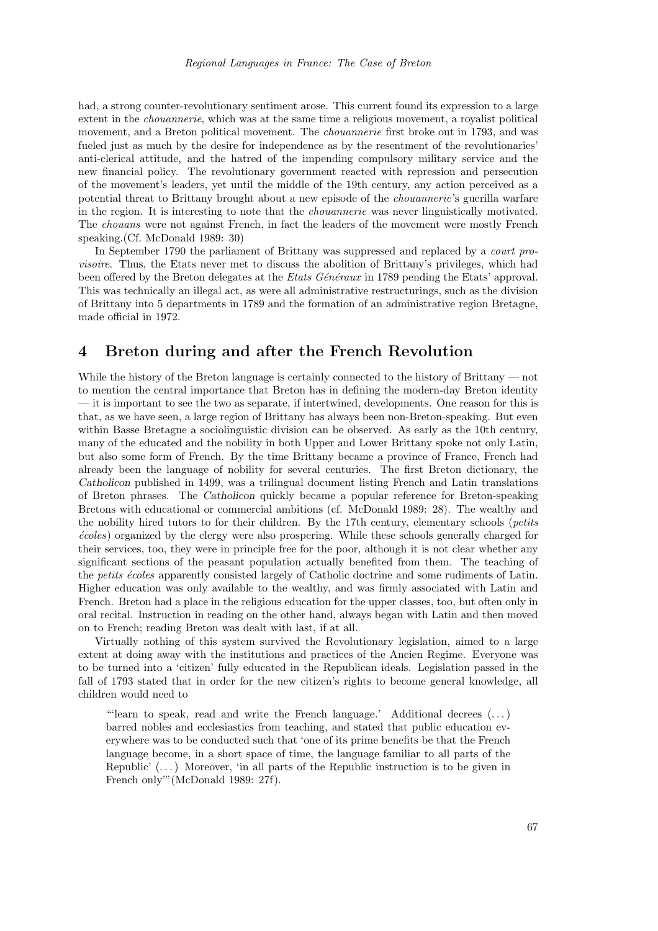had, a strong counter-revolutionary sentiment arose. This current found its expression to a large extent in the chouannerie, which was at the same time a religious movement, a royalist political movement, and a Breton political movement. The chouannerie first broke out in 1793, and was fueled just as much by the desire for independence as by the resentment of the revolutionaries' anti-clerical attitude, and the hatred of the impending compulsory military service and the new financial policy. The revolutionary government reacted with repression and persecution of the movement's leaders, yet until the middle of the 19th century, any action perceived as a potential threat to Brittany brought about a new episode of the chouannerie's guerilla warfare in the region. It is interesting to note that the chouannerie was never linguistically motivated. The chouans were not against French, in fact the leaders of the movement were mostly French speaking.(Cf. McDonald 1989: 30)

In September 1790 the parliament of Brittany was suppressed and replaced by a court provisoire. Thus, the Etats never met to discuss the abolition of Brittany's privileges, which had been offered by the Breton delegates at the *Etats Généraux* in 1789 pending the Etats' approval. This was technically an illegal act, as were all administrative restructurings, such as the division of Brittany into 5 departments in 1789 and the formation of an administrative region Bretagne, made official in 1972.

## 4 Breton during and after the French Revolution

While the history of the Breton language is certainly connected to the history of Brittany — not to mention the central importance that Breton has in defining the modern-day Breton identity — it is important to see the two as separate, if intertwined, developments. One reason for this is that, as we have seen, a large region of Brittany has always been non-Breton-speaking. But even within Basse Bretagne a sociolinguistic division can be observed. As early as the 10th century, many of the educated and the nobility in both Upper and Lower Brittany spoke not only Latin, but also some form of French. By the time Brittany became a province of France, French had already been the language of nobility for several centuries. The first Breton dictionary, the Catholicon published in 1499, was a trilingual document listing French and Latin translations of Breton phrases. The Catholicon quickly became a popular reference for Breton-speaking Bretons with educational or commercial ambitions (cf. McDonald 1989: 28). The wealthy and the nobility hired tutors to for their children. By the 17th century, elementary schools (petits ´ecoles) organized by the clergy were also prospering. While these schools generally charged for their services, too, they were in principle free for the poor, although it is not clear whether any significant sections of the peasant population actually benefited from them. The teaching of the *petits écoles* apparently consisted largely of Catholic doctrine and some rudiments of Latin. Higher education was only available to the wealthy, and was firmly associated with Latin and French. Breton had a place in the religious education for the upper classes, too, but often only in oral recital. Instruction in reading on the other hand, always began with Latin and then moved on to French; reading Breton was dealt with last, if at all.

Virtually nothing of this system survived the Revolutionary legislation, aimed to a large extent at doing away with the institutions and practices of the Ancien Regime. Everyone was to be turned into a 'citizen' fully educated in the Republican ideals. Legislation passed in the fall of 1793 stated that in order for the new citizen's rights to become general knowledge, all children would need to

"'learn to speak, read and write the French language.' Additional decrees  $(\ldots)$ barred nobles and ecclesiastics from teaching, and stated that public education everywhere was to be conducted such that 'one of its prime benefits be that the French language become, in a short space of time, the language familiar to all parts of the Republic'  $(\ldots)$  Moreover, 'in all parts of the Republic instruction is to be given in French only'"(McDonald 1989: 27f).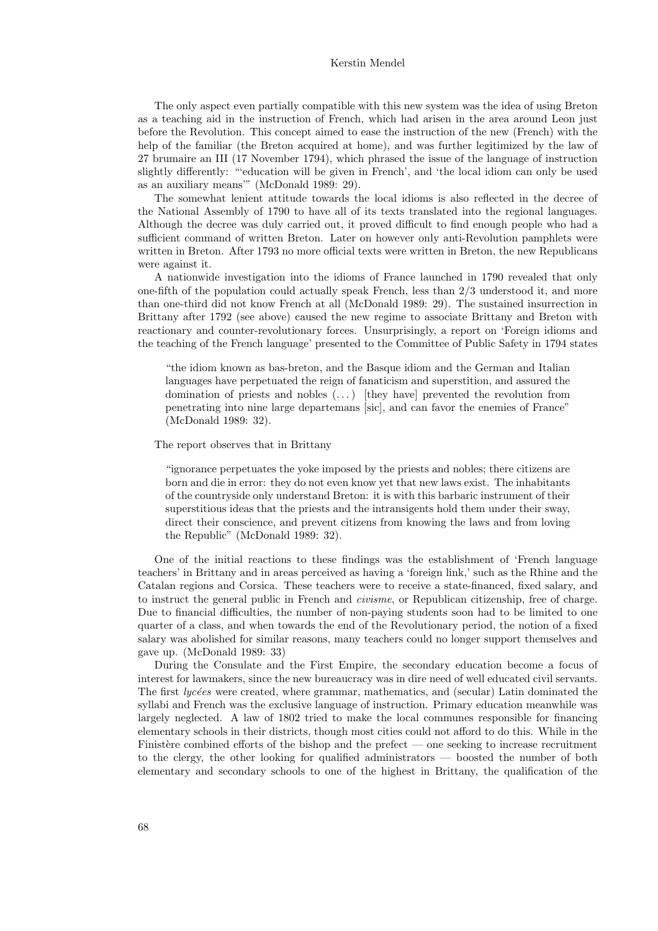#### Kerstin Mendel

The only aspect even partially compatible with this new system was the idea of using Breton as a teaching aid in the instruction of French, which had arisen in the area around Leon just before the Revolution. This concept aimed to ease the instruction of the new (French) with the help of the familiar (the Breton acquired at home), and was further legitimized by the law of 27 brumaire an III (17 November 1794), which phrased the issue of the language of instruction slightly differently: "'education will be given in French', and 'the local idiom can only be used as an auxiliary means'" (McDonald 1989: 29).

The somewhat lenient attitude towards the local idioms is also reflected in the decree of the National Assembly of 1790 to have all of its texts translated into the regional languages. Although the decree was duly carried out, it proved difficult to find enough people who had a sufficient command of written Breton. Later on however only anti-Revolution pamphlets were written in Breton. After 1793 no more official texts were written in Breton, the new Republicans were against it.

A nationwide investigation into the idioms of France launched in 1790 revealed that only one-fifth of the population could actually speak French, less than 2/3 understood it, and more than one-third did not know French at all (McDonald 1989: 29). The sustained insurrection in Brittany after 1792 (see above) caused the new regime to associate Brittany and Breton with reactionary and counter-revolutionary forces. Unsurprisingly, a report on 'Foreign idioms and the teaching of the French language' presented to the Committee of Public Safety in 1794 states

"the idiom known as bas-breton, and the Basque idiom and the German and Italian languages have perpetuated the reign of fanaticism and superstition, and assured the domination of priests and nobles  $(\ldots)$  [they have] prevented the revolution from penetrating into nine large departemans [sic], and can favor the enemies of France" (McDonald 1989: 32).

#### The report observes that in Brittany

"ignorance perpetuates the yoke imposed by the priests and nobles; there citizens are born and die in error: they do not even know yet that new laws exist. The inhabitants of the countryside only understand Breton: it is with this barbaric instrument of their superstitious ideas that the priests and the intransigents hold them under their sway, direct their conscience, and prevent citizens from knowing the laws and from loving the Republic" (McDonald 1989: 32).

One of the initial reactions to these findings was the establishment of 'French language teachers' in Brittany and in areas perceived as having a 'foreign link,' such as the Rhine and the Catalan regions and Corsica. These teachers were to receive a state-financed, fixed salary, and to instruct the general public in French and *civisme*, or Republican citizenship, free of charge. Due to financial difficulties, the number of non-paying students soon had to be limited to one quarter of a class, and when towards the end of the Revolutionary period, the notion of a fixed salary was abolished for similar reasons, many teachers could no longer support themselves and gave up. (McDonald 1989: 33)

During the Consulate and the First Empire, the secondary education become a focus of interest for lawmakers, since the new bureaucracy was in dire need of well educated civil servants. The first lycées were created, where grammar, mathematics, and (secular) Latin dominated the syllabi and French was the exclusive language of instruction. Primary education meanwhile was largely neglected. A law of 1802 tried to make the local communes responsible for financing elementary schools in their districts, though most cities could not afford to do this. While in the Finistère combined efforts of the bishop and the prefect — one seeking to increase recruitment to the clergy, the other looking for qualified administrators — boosted the number of both elementary and secondary schools to one of the highest in Brittany, the qualification of the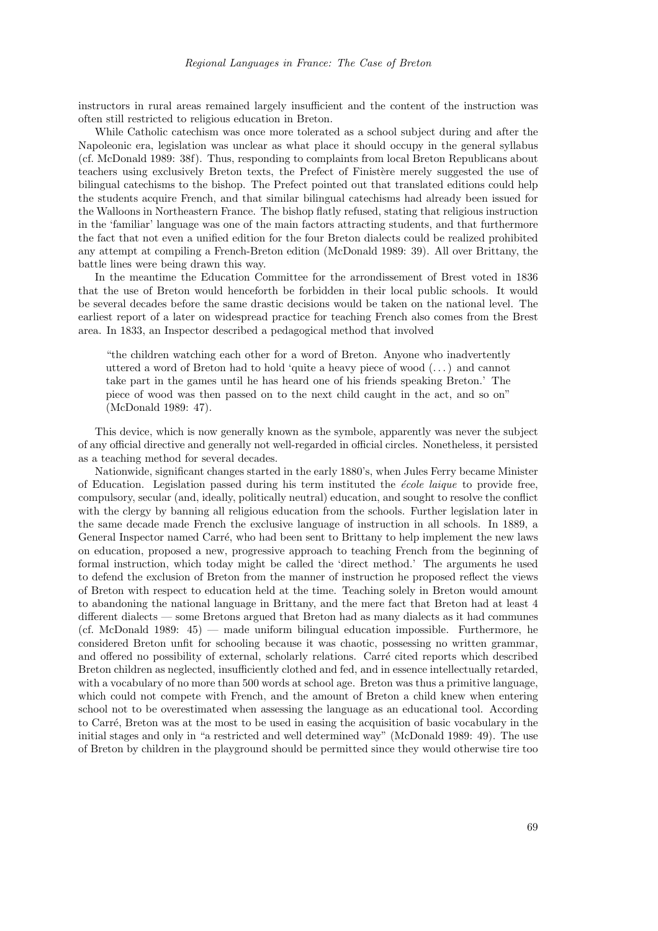instructors in rural areas remained largely insufficient and the content of the instruction was often still restricted to religious education in Breton.

While Catholic catechism was once more tolerated as a school subject during and after the Napoleonic era, legislation was unclear as what place it should occupy in the general syllabus (cf. McDonald 1989: 38f). Thus, responding to complaints from local Breton Republicans about teachers using exclusively Breton texts, the Prefect of Finistère merely suggested the use of bilingual catechisms to the bishop. The Prefect pointed out that translated editions could help the students acquire French, and that similar bilingual catechisms had already been issued for the Walloons in Northeastern France. The bishop flatly refused, stating that religious instruction in the 'familiar' language was one of the main factors attracting students, and that furthermore the fact that not even a unified edition for the four Breton dialects could be realized prohibited any attempt at compiling a French-Breton edition (McDonald 1989: 39). All over Brittany, the battle lines were being drawn this way.

In the meantime the Education Committee for the arrondissement of Brest voted in 1836 that the use of Breton would henceforth be forbidden in their local public schools. It would be several decades before the same drastic decisions would be taken on the national level. The earliest report of a later on widespread practice for teaching French also comes from the Brest area. In 1833, an Inspector described a pedagogical method that involved

"the children watching each other for a word of Breton. Anyone who inadvertently uttered a word of Breton had to hold 'quite a heavy piece of wood (. . . ) and cannot take part in the games until he has heard one of his friends speaking Breton.' The piece of wood was then passed on to the next child caught in the act, and so on" (McDonald 1989: 47).

This device, which is now generally known as the symbole, apparently was never the subject of any official directive and generally not well-regarded in official circles. Nonetheless, it persisted as a teaching method for several decades.

Nationwide, significant changes started in the early 1880's, when Jules Ferry became Minister of Education. Legislation passed during his term instituted the *école laique* to provide free, compulsory, secular (and, ideally, politically neutral) education, and sought to resolve the conflict with the clergy by banning all religious education from the schools. Further legislation later in the same decade made French the exclusive language of instruction in all schools. In 1889, a General Inspector named Carré, who had been sent to Brittany to help implement the new laws on education, proposed a new, progressive approach to teaching French from the beginning of formal instruction, which today might be called the 'direct method.' The arguments he used to defend the exclusion of Breton from the manner of instruction he proposed reflect the views of Breton with respect to education held at the time. Teaching solely in Breton would amount to abandoning the national language in Brittany, and the mere fact that Breton had at least 4 different dialects — some Bretons argued that Breton had as many dialects as it had communes (cf. McDonald 1989: 45) — made uniform bilingual education impossible. Furthermore, he considered Breton unfit for schooling because it was chaotic, possessing no written grammar, and offered no possibility of external, scholarly relations. Carré cited reports which described Breton children as neglected, insufficiently clothed and fed, and in essence intellectually retarded, with a vocabulary of no more than 500 words at school age. Breton was thus a primitive language, which could not compete with French, and the amount of Breton a child knew when entering school not to be overestimated when assessing the language as an educational tool. According to Carr´e, Breton was at the most to be used in easing the acquisition of basic vocabulary in the initial stages and only in "a restricted and well determined way" (McDonald 1989: 49). The use of Breton by children in the playground should be permitted since they would otherwise tire too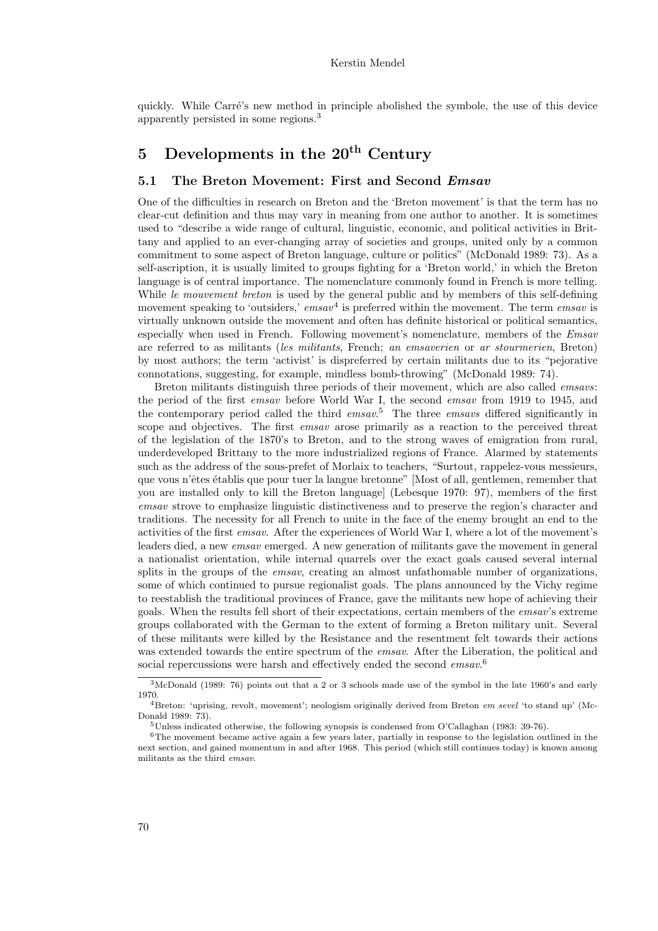quickly. While Carré's new method in principle abolished the symbole, the use of this device apparently persisted in some regions.<sup>3</sup>

# 5 Developments in the  $20<sup>th</sup>$  Century

#### 5.1 The Breton Movement: First and Second *Emsav*

One of the difficulties in research on Breton and the 'Breton movement' is that the term has no clear-cut definition and thus may vary in meaning from one author to another. It is sometimes used to "describe a wide range of cultural, linguistic, economic, and political activities in Brittany and applied to an ever-changing array of societies and groups, united only by a common commitment to some aspect of Breton language, culture or politics" (McDonald 1989: 73). As a self-ascription, it is usually limited to groups fighting for a 'Breton world,' in which the Breton language is of central importance. The nomenclature commonly found in French is more telling. While *le mouvement breton* is used by the general public and by members of this self-defining movement speaking to 'outsiders,'  $emsav^4$  is preferred within the movement. The term  $emsav$  is virtually unknown outside the movement and often has definite historical or political semantics, especially when used in French. Following movement's nomenclature, members of the *Emsav* are referred to as militants (les militants, French; an emsaverien or ar stourmerien, Breton) by most authors; the term 'activist' is dispreferred by certain militants due to its "pejorative connotations, suggesting, for example, mindless bomb-throwing" (McDonald 1989: 74).

Breton militants distinguish three periods of their movement, which are also called *emsavs*: the period of the first *emsav* before World War I, the second *emsav* from 1919 to 1945, and the contemporary period called the third  $emsav^5$ . The three emsavs differed significantly in scope and objectives. The first *emsav* arose primarily as a reaction to the perceived threat of the legislation of the 1870's to Breton, and to the strong waves of emigration from rural, underdeveloped Brittany to the more industrialized regions of France. Alarmed by statements such as the address of the sous-prefet of Morlaix to teachers, "Surtout, rappelez-vous messieurs, que vous n'êtes établis que pour tuer la langue bretonne" [Most of all, gentlemen, remember that you are installed only to kill the Breton language] (Lebesque 1970: 97), members of the first emsav strove to emphasize linguistic distinctiveness and to preserve the region's character and traditions. The necessity for all French to unite in the face of the enemy brought an end to the activities of the first emsav. After the experiences of World War I, where a lot of the movement's leaders died, a new emsav emerged. A new generation of militants gave the movement in general a nationalist orientation, while internal quarrels over the exact goals caused several internal splits in the groups of the *emsav*, creating an almost unfathomable number of organizations, some of which continued to pursue regionalist goals. The plans announced by the Vichy regime to reestablish the traditional provinces of France, gave the militants new hope of achieving their goals. When the results fell short of their expectations, certain members of the emsav's extreme groups collaborated with the German to the extent of forming a Breton military unit. Several of these militants were killed by the Resistance and the resentment felt towards their actions was extended towards the entire spectrum of the *emsav*. After the Liberation, the political and social repercussions were harsh and effectively ended the second  $emsav.^6$ 

<sup>3</sup>McDonald (1989: 76) points out that a 2 or 3 schools made use of the symbol in the late 1960's and early 1970.

<sup>&</sup>lt;sup>4</sup>Breton: 'uprising, revolt, movement'; neologism originally derived from Breton em sevel 'to stand up' (Mc-Donald 1989: 73).

<sup>5</sup>Unless indicated otherwise, the following synopsis is condensed from O'Callaghan (1983: 39-76).

<sup>6</sup>The movement became active again a few years later, partially in response to the legislation outlined in the next section, and gained momentum in and after 1968. This period (which still continues today) is known among militants as the third emsav.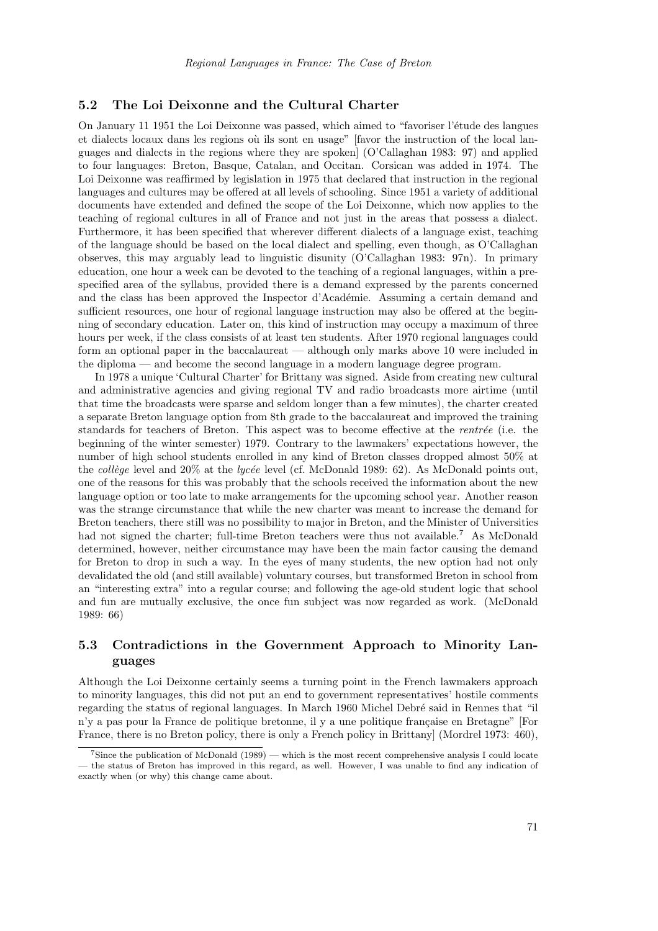#### 5.2 The Loi Deixonne and the Cultural Charter

On January 11 1951 the Loi Deixonne was passed, which aimed to "favoriser l'étude des langues" et dialects locaux dans les regions où ils sont en usage" [favor the instruction of the local languages and dialects in the regions where they are spoken] (O'Callaghan 1983: 97) and applied to four languages: Breton, Basque, Catalan, and Occitan. Corsican was added in 1974. The Loi Deixonne was reaffirmed by legislation in 1975 that declared that instruction in the regional languages and cultures may be offered at all levels of schooling. Since 1951 a variety of additional documents have extended and defined the scope of the Loi Deixonne, which now applies to the teaching of regional cultures in all of France and not just in the areas that possess a dialect. Furthermore, it has been specified that wherever different dialects of a language exist, teaching of the language should be based on the local dialect and spelling, even though, as O'Callaghan observes, this may arguably lead to linguistic disunity (O'Callaghan 1983: 97n). In primary education, one hour a week can be devoted to the teaching of a regional languages, within a prespecified area of the syllabus, provided there is a demand expressed by the parents concerned and the class has been approved the Inspector d'Académie. Assuming a certain demand and sufficient resources, one hour of regional language instruction may also be offered at the beginning of secondary education. Later on, this kind of instruction may occupy a maximum of three hours per week, if the class consists of at least ten students. After 1970 regional languages could form an optional paper in the baccalaureat — although only marks above 10 were included in the diploma — and become the second language in a modern language degree program.

In 1978 a unique 'Cultural Charter' for Brittany was signed. Aside from creating new cultural and administrative agencies and giving regional TV and radio broadcasts more airtime (until that time the broadcasts were sparse and seldom longer than a few minutes), the charter created a separate Breton language option from 8th grade to the baccalaureat and improved the training standards for teachers of Breton. This aspect was to become effective at the *rentrée* (i.e. the beginning of the winter semester) 1979. Contrary to the lawmakers' expectations however, the number of high school students enrolled in any kind of Breton classes dropped almost 50% at the collège level and  $20\%$  at the lycée level (cf. McDonald 1989: 62). As McDonald points out, one of the reasons for this was probably that the schools received the information about the new language option or too late to make arrangements for the upcoming school year. Another reason was the strange circumstance that while the new charter was meant to increase the demand for Breton teachers, there still was no possibility to major in Breton, and the Minister of Universities had not signed the charter; full-time Breton teachers were thus not available.<sup>7</sup> As McDonald determined, however, neither circumstance may have been the main factor causing the demand for Breton to drop in such a way. In the eyes of many students, the new option had not only devalidated the old (and still available) voluntary courses, but transformed Breton in school from an "interesting extra" into a regular course; and following the age-old student logic that school and fun are mutually exclusive, the once fun subject was now regarded as work. (McDonald 1989: 66)

### 5.3 Contradictions in the Government Approach to Minority Languages

Although the Loi Deixonne certainly seems a turning point in the French lawmakers approach to minority languages, this did not put an end to government representatives' hostile comments regarding the status of regional languages. In March 1960 Michel Debré said in Rennes that "il n'y a pas pour la France de politique bretonne, il y a une politique française en Bretagne" [For France, there is no Breton policy, there is only a French policy in Brittany] (Mordrel 1973: 460),

<sup>&</sup>lt;sup>7</sup>Since the publication of McDonald  $(1989)$  — which is the most recent comprehensive analysis I could locate — the status of Breton has improved in this regard, as well. However, I was unable to find any indication of exactly when (or why) this change came about.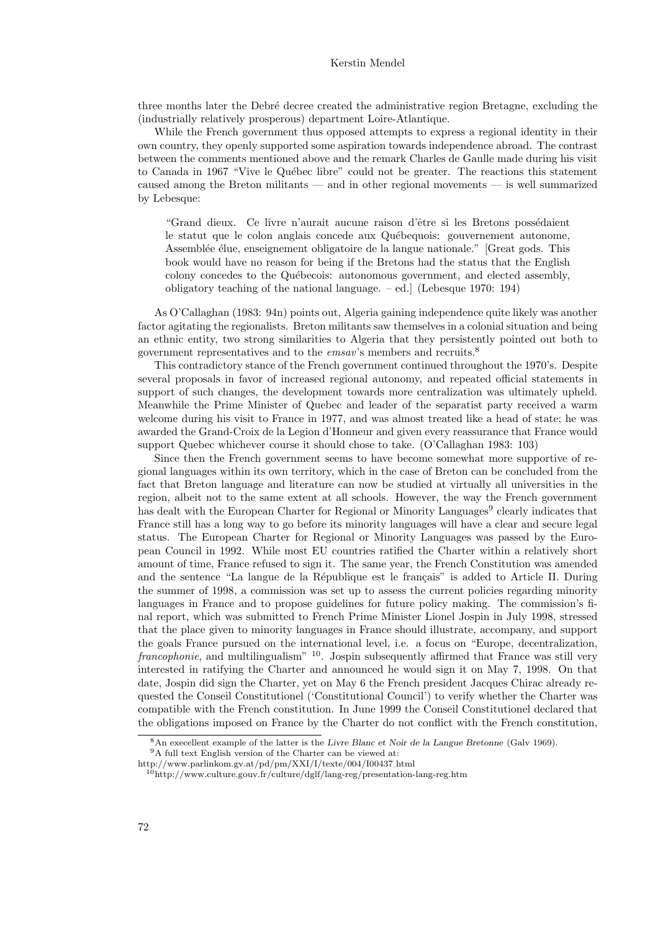#### Kerstin Mendel

three months later the Debré decree created the administrative region Bretagne, excluding the (industrially relatively prosperous) department Loire-Atlantique.

While the French government thus opposed attempts to express a regional identity in their own country, they openly supported some aspiration towards independence abroad. The contrast between the comments mentioned above and the remark Charles de Gaulle made during his visit to Canada in 1967 "Vive le Québec libre" could not be greater. The reactions this statement caused among the Breton militants — and in other regional movements — is well summarized by Lebesque:

"Grand dieux. Ce livre n'aurait aucune raison d'être si les Bretons possédaient le statut que le colon anglais concede aux Québequois: gouvernement autonome, Assemblée élue, enseignement obligatoire de la langue nationale." [Great gods. This book would have no reason for being if the Bretons had the status that the English colony concedes to the Québecois: autonomous government, and elected assembly, obligatory teaching of the national language.  $-$  ed.] (Lebesque 1970: 194)

As O'Callaghan (1983: 94n) points out, Algeria gaining independence quite likely was another factor agitating the regionalists. Breton militants saw themselves in a colonial situation and being an ethnic entity, two strong similarities to Algeria that they persistently pointed out both to government representatives and to the *emsav*'s members and recruits.<sup>8</sup>

This contradictory stance of the French government continued throughout the 1970's. Despite several proposals in favor of increased regional autonomy, and repeated official statements in support of such changes, the development towards more centralization was ultimately upheld. Meanwhile the Prime Minister of Quebec and leader of the separatist party received a warm welcome during his visit to France in 1977, and was almost treated like a head of state; he was awarded the Grand-Croix de la Legion d'Honneur and given every reassurance that France would support Quebec whichever course it should chose to take. (O'Callaghan 1983: 103)

Since then the French government seems to have become somewhat more supportive of regional languages within its own territory, which in the case of Breton can be concluded from the fact that Breton language and literature can now be studied at virtually all universities in the region, albeit not to the same extent at all schools. However, the way the French government has dealt with the European Charter for Regional or Minority Languages<sup>9</sup> clearly indicates that France still has a long way to go before its minority languages will have a clear and secure legal status. The European Charter for Regional or Minority Languages was passed by the European Council in 1992. While most EU countries ratified the Charter within a relatively short amount of time, France refused to sign it. The same year, the French Constitution was amended and the sentence "La langue de la République est le français" is added to Article II. During the summer of 1998, a commission was set up to assess the current policies regarding minority languages in France and to propose guidelines for future policy making. The commission's final report, which was submitted to French Prime Minister Lionel Jospin in July 1998, stressed that the place given to minority languages in France should illustrate, accompany, and support the goals France pursued on the international level, i.e. a focus on "Europe, decentralization,  $francophonic$ , and multilingualism"  $10$ . Jospin subsequently affirmed that France was still very interested in ratifying the Charter and announced he would sign it on May 7, 1998. On that date, Jospin did sign the Charter, yet on May 6 the French president Jacques Chirac already requested the Conseil Constitutionel ('Constitutional Council') to verify whether the Charter was compatible with the French constitution. In June 1999 the Conseil Constitutionel declared that the obligations imposed on France by the Charter do not conflict with the French constitution,

<sup>8</sup>An execellent example of the latter is the Livre Blanc et Noir de la Langue Bretonne (Galv 1969).

 $^9\mathrm{A}$  full text English version of the Charter can be viewed at:

http://www.parlinkom.gv.at/pd/pm/XXI/I/texte/004/I00437.html

 $10$ http://www.culture.gouv.fr/culture/dglf/lang-reg/presentation-lang-reg.htm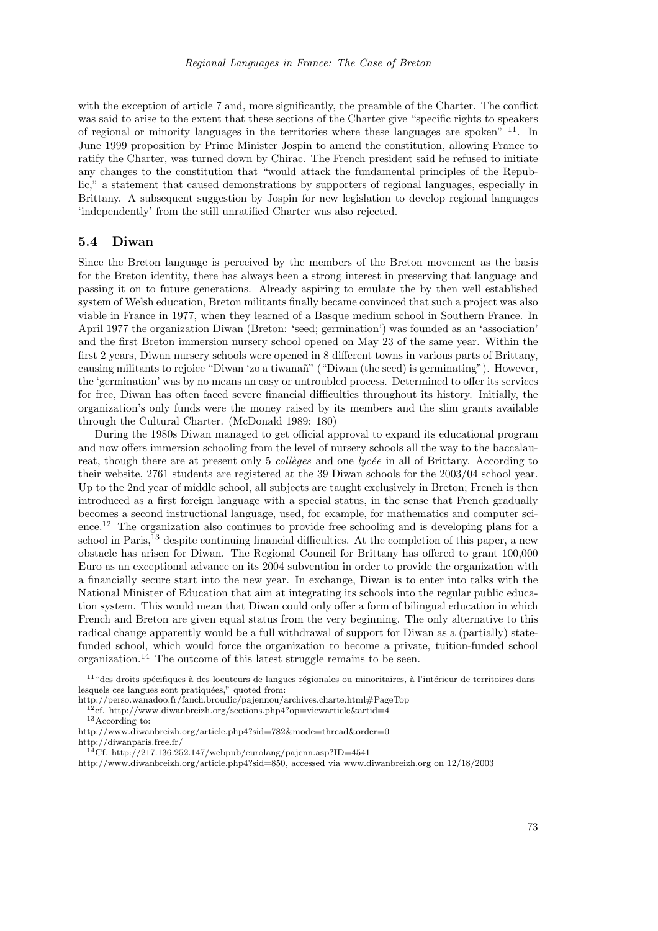with the exception of article 7 and, more significantly, the preamble of the Charter. The conflict was said to arise to the extent that these sections of the Charter give "specific rights to speakers of regional or minority languages in the territories where these languages are spoken" <sup>11</sup>. In June 1999 proposition by Prime Minister Jospin to amend the constitution, allowing France to ratify the Charter, was turned down by Chirac. The French president said he refused to initiate any changes to the constitution that "would attack the fundamental principles of the Republic," a statement that caused demonstrations by supporters of regional languages, especially in Brittany. A subsequent suggestion by Jospin for new legislation to develop regional languages 'independently' from the still unratified Charter was also rejected.

#### 5.4 Diwan

Since the Breton language is perceived by the members of the Breton movement as the basis for the Breton identity, there has always been a strong interest in preserving that language and passing it on to future generations. Already aspiring to emulate the by then well established system of Welsh education, Breton militants finally became convinced that such a project was also viable in France in 1977, when they learned of a Basque medium school in Southern France. In April 1977 the organization Diwan (Breton: 'seed; germination') was founded as an 'association' and the first Breton immersion nursery school opened on May 23 of the same year. Within the first 2 years, Diwan nursery schools were opened in 8 different towns in various parts of Brittany, causing militants to rejoice "Diwan 'zo a tiwana˜n" ("Diwan (the seed) is germinating"). However, the 'germination' was by no means an easy or untroubled process. Determined to offer its services for free, Diwan has often faced severe financial difficulties throughout its history. Initially, the organization's only funds were the money raised by its members and the slim grants available through the Cultural Charter. (McDonald 1989: 180)

During the 1980s Diwan managed to get official approval to expand its educational program and now offers immersion schooling from the level of nursery schools all the way to the baccalaureat, though there are at present only 5 *collèges* and one *lycée* in all of Brittany. According to their website, 2761 students are registered at the 39 Diwan schools for the 2003/04 school year. Up to the 2nd year of middle school, all subjects are taught exclusively in Breton; French is then introduced as a first foreign language with a special status, in the sense that French gradually becomes a second instructional language, used, for example, for mathematics and computer science.<sup>12</sup> The organization also continues to provide free schooling and is developing plans for a school in Paris,<sup>13</sup> despite continuing financial difficulties. At the completion of this paper, a new obstacle has arisen for Diwan. The Regional Council for Brittany has offered to grant 100,000 Euro as an exceptional advance on its 2004 subvention in order to provide the organization with a financially secure start into the new year. In exchange, Diwan is to enter into talks with the National Minister of Education that aim at integrating its schools into the regular public education system. This would mean that Diwan could only offer a form of bilingual education in which French and Breton are given equal status from the very beginning. The only alternative to this radical change apparently would be a full withdrawal of support for Diwan as a (partially) statefunded school, which would force the organization to become a private, tuition-funded school organization.<sup>14</sup> The outcome of this latest struggle remains to be seen.

 $11$  "des droits spécifiques à des locuteurs de langues régionales ou minoritaires, à l'intérieur de territoires dans lesquels ces langues sont pratiquées," quoted from:

http://perso.wanadoo.fr/fanch.broudic/pajennou/archives.charte.html#PageTop

 $12c$ f. http://www.diwanbreizh.org/sections.php4?op=viewarticle&artid=4

<sup>13</sup>According to:

http://www.diwanbreizh.org/article.php4?sid=782&mode=thread&order=0 http://diwanparis.free.fr/

<sup>14</sup>Cf. http://217.136.252.147/webpub/eurolang/pajenn.asp?ID=4541

http://www.diwanbreizh.org/article.php4?sid=850, accessed via www.diwanbreizh.org on 12/18/2003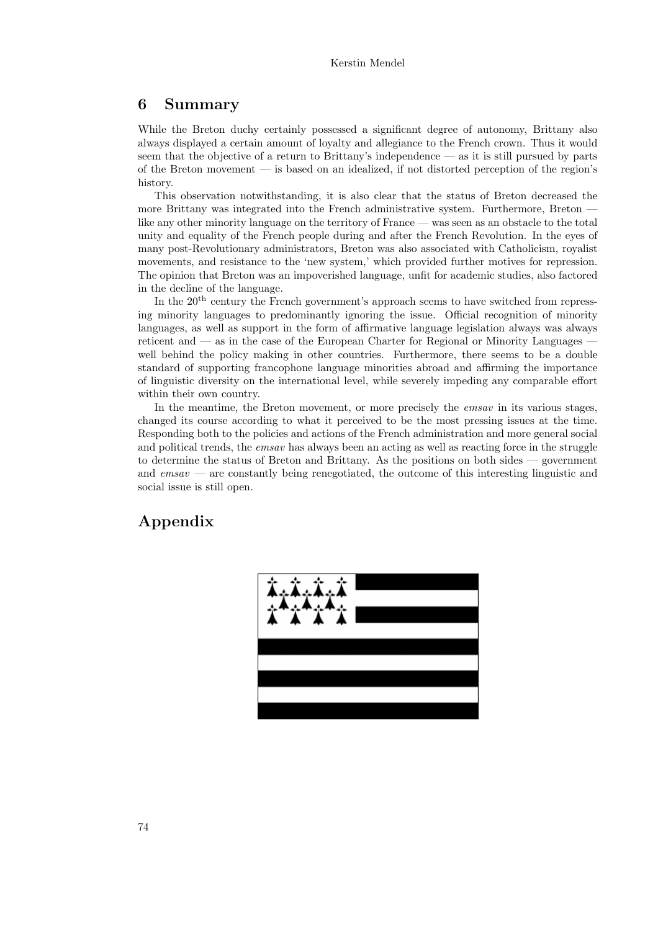### 6 Summary

While the Breton duchy certainly possessed a significant degree of autonomy, Brittany also always displayed a certain amount of loyalty and allegiance to the French crown. Thus it would seem that the objective of a return to Brittany's independence — as it is still pursued by parts of the Breton movement — is based on an idealized, if not distorted perception of the region's history.

This observation notwithstanding, it is also clear that the status of Breton decreased the more Brittany was integrated into the French administrative system. Furthermore, Breton  $\cdot$ like any other minority language on the territory of France — was seen as an obstacle to the total unity and equality of the French people during and after the French Revolution. In the eyes of many post-Revolutionary administrators, Breton was also associated with Catholicism, royalist movements, and resistance to the 'new system,' which provided further motives for repression. The opinion that Breton was an impoverished language, unfit for academic studies, also factored in the decline of the language.

In the 20<sup>th</sup> century the French government's approach seems to have switched from repressing minority languages to predominantly ignoring the issue. Official recognition of minority languages, as well as support in the form of affirmative language legislation always was always reticent and  $\sim$  as in the case of the European Charter for Regional or Minority Languages  $\sim$ well behind the policy making in other countries. Furthermore, there seems to be a double standard of supporting francophone language minorities abroad and affirming the importance of linguistic diversity on the international level, while severely impeding any comparable effort within their own country.

In the meantime, the Breton movement, or more precisely the *emsav* in its various stages, changed its course according to what it perceived to be the most pressing issues at the time. Responding both to the policies and actions of the French administration and more general social and political trends, the *emsav* has always been an acting as well as reacting force in the struggle to determine the status of Breton and Brittany. As the positions on both sides — government and  $emsav$  — are constantly being renegotiated, the outcome of this interesting linguistic and social issue is still open.

# Appendix